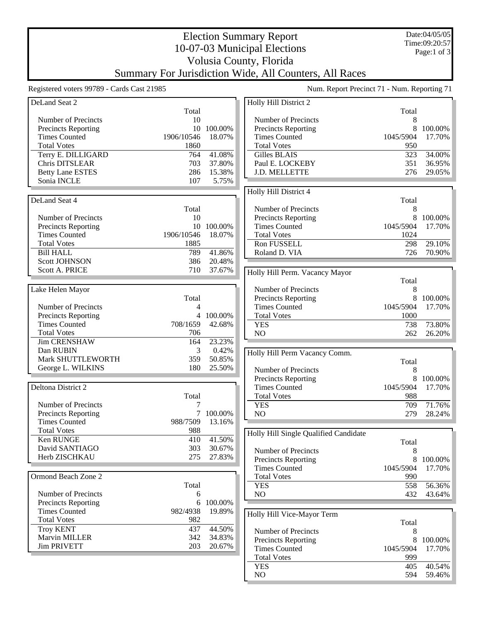Date:04/05/05 Time:09:20:57 Page:1 of 3

## Election Summary Report 10-07-03 Municipal Elections Volusia County, Florida Summary For Jurisdiction Wide, All Counters, All Races

Registered voters 99789 - Cards Cast 21985 Num. Report Precinct 71 - Num. Reporting 71

| DeLand Seat 2              |            |            | Holly Hill District 2                 |           |           |
|----------------------------|------------|------------|---------------------------------------|-----------|-----------|
|                            | Total      |            |                                       | Total     |           |
| Number of Precincts        | 10         |            | Number of Precincts                   | 8         |           |
| Precincts Reporting        | 10         | 100.00%    | Precincts Reporting                   | 8         | 100.00%   |
| <b>Times Counted</b>       | 1906/10546 | 18.07%     | <b>Times Counted</b>                  | 1045/5904 | 17.70%    |
|                            |            |            |                                       |           |           |
| <b>Total Votes</b>         | 1860       |            | <b>Total Votes</b>                    | 950       |           |
| Terry E. DILLIGARD         | 764        | 41.08%     | Gilles BLAIS                          | 323       | 34.00%    |
| Chris DITSLEAR             | 703        | 37.80%     | Paul E. LOCKEBY                       | 351       | 36.95%    |
| <b>Betty Lane ESTES</b>    | 286        | 15.38%     | J.D. MELLETTE                         | 276       | 29.05%    |
| Sonia INCLE                | 107        | 5.75%      |                                       |           |           |
|                            |            |            | Holly Hill District 4                 |           |           |
| DeLand Seat 4              |            |            |                                       | Total     |           |
|                            | Total      |            | Number of Precincts                   | 8         |           |
|                            |            |            |                                       | 8         |           |
| Number of Precincts        | 10         |            | Precincts Reporting                   |           | 100.00%   |
| Precincts Reporting        |            | 10 100.00% | <b>Times Counted</b>                  | 1045/5904 | 17.70%    |
| <b>Times Counted</b>       | 1906/10546 | 18.07%     | <b>Total Votes</b>                    | 1024      |           |
| <b>Total Votes</b>         | 1885       |            | Ron FUSSELL                           | 298       | 29.10%    |
| <b>Bill HALL</b>           | 789        | 41.86%     | Roland D. VIA                         | 726       | 70.90%    |
| <b>Scott JOHNSON</b>       | 386        | 20.48%     |                                       |           |           |
| Scott A. PRICE             | 710        | 37.67%     | Holly Hill Perm. Vacancy Mayor        |           |           |
|                            |            |            |                                       |           |           |
|                            |            |            |                                       | Total     |           |
| Lake Helen Mayor           |            |            | Number of Precincts                   | 8         |           |
|                            | Total      |            | <b>Precincts Reporting</b>            | 8         | 100.00%   |
| Number of Precincts        | 4          |            | <b>Times Counted</b>                  | 1045/5904 | 17.70%    |
| <b>Precincts Reporting</b> |            | 4 100.00%  | <b>Total Votes</b>                    | 1000      |           |
| <b>Times Counted</b>       | 708/1659   | 42.68%     | <b>YES</b>                            | 738       | 73.80%    |
| <b>Total Votes</b>         | 706        |            | NO                                    | 262       | 26.20%    |
| <b>Jim CRENSHAW</b>        | 164        | 23.23%     |                                       |           |           |
| Dan RUBIN                  | 3          | 0.42%      |                                       |           |           |
| Mark SHUTTLEWORTH          | 359        | 50.85%     | Holly Hill Perm Vacancy Comm.         |           |           |
| George L. WILKINS          | 180        | 25.50%     |                                       | Total     |           |
|                            |            |            | Number of Precincts                   | 8         |           |
|                            |            |            | Precincts Reporting                   |           | 8 100.00% |
| Deltona District 2         |            |            | <b>Times Counted</b>                  | 1045/5904 | 17.70%    |
|                            | Total      |            | <b>Total Votes</b>                    | 988       |           |
| Number of Precincts        | 7          |            | <b>YES</b>                            | 709       | 71.76%    |
| <b>Precincts Reporting</b> | 7          | 100.00%    | NO                                    | 279       | 28.24%    |
| <b>Times Counted</b>       | 988/7509   | 13.16%     |                                       |           |           |
| <b>Total Votes</b>         | 988        |            |                                       |           |           |
| Ken RUNGE                  | 410        | 41.50%     | Holly Hill Single Qualified Candidate |           |           |
| David SANTIAGO             | 303        | 30.67%     |                                       | Total     |           |
|                            |            |            | Number of Precincts                   | 8         |           |
| Herb ZISCHKAU              | 275        | 27.83%     | <b>Precincts Reporting</b>            | 8         | 100.00%   |
|                            |            |            | <b>Times Counted</b>                  | 1045/5904 | 17.70%    |
| Ormond Beach Zone 2        |            |            | <b>Total Votes</b>                    | 990       |           |
|                            | Total      |            | <b>YES</b>                            | 558       | 56.36%    |
| Number of Precincts        | 6          |            | NO                                    | 432       | 43.64%    |
| Precincts Reporting        | 6          | 100.00%    |                                       |           |           |
| <b>Times Counted</b>       | 982/4938   | 19.89%     |                                       |           |           |
| <b>Total Votes</b>         | 982        |            | Holly Hill Vice-Mayor Term            |           |           |
|                            |            |            |                                       | Total     |           |
| <b>Troy KENT</b>           | 437        | 44.50%     | Number of Precincts                   | 8         |           |
| Marvin MILLER              | 342        | 34.83%     | Precincts Reporting                   | 8         | 100.00%   |
| <b>Jim PRIVETT</b>         | 203        | 20.67%     | <b>Times Counted</b>                  | 1045/5904 | 17.70%    |
|                            |            |            | <b>Total Votes</b>                    | 999       |           |
|                            |            |            | <b>YES</b>                            | 405       | 40.54%    |
|                            |            |            | NO                                    | 594       | 59.46%    |
|                            |            |            |                                       |           |           |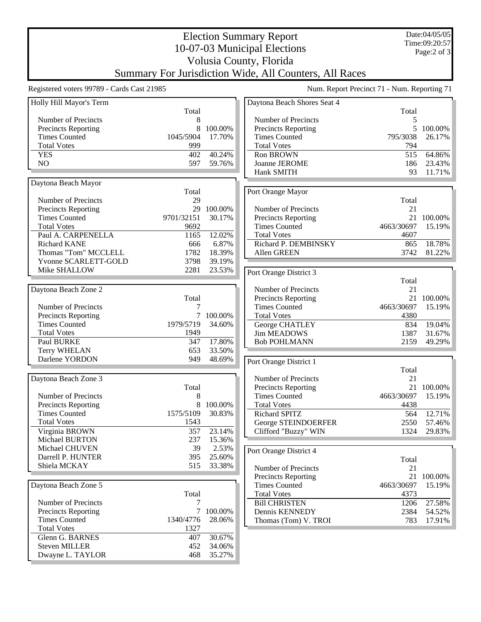Date:04/05/05 Time:09:20:57 Page:2 of 3

## Election Summary Report 10-07-03 Municipal Elections Volusia County, Florida Summary For Jurisdiction Wide, All Counters, All Races

Registered voters 99789 - Cards Cast 21985 Num. Report Precinct 71 - Num. Reporting 71

| Holly Hill Mayor's Term    |            |         | Daytona Beach Shores Seat 4 |            |            |
|----------------------------|------------|---------|-----------------------------|------------|------------|
|                            | Total      |         |                             | Total      |            |
| Number of Precincts        | 8          |         | Number of Precincts         | 5          |            |
| <b>Precincts Reporting</b> | 8          | 100.00% | Precincts Reporting         | 5          | 100.00%    |
| <b>Times Counted</b>       | 1045/5904  | 17.70%  | <b>Times Counted</b>        | 795/3038   | 26.17%     |
| <b>Total Votes</b>         | 999        |         | <b>Total Votes</b>          | 794        |            |
| <b>YES</b>                 | 402        | 40.24%  | Ron BROWN                   | 515        | 64.86%     |
| NO                         | 597        | 59.76%  | Joanne JEROME               | 186        | 23.43%     |
|                            |            |         | Hank SMITH                  | 93         | 11.71%     |
| Daytona Beach Mayor        |            |         |                             |            |            |
|                            | Total      |         | Port Orange Mayor           |            |            |
| Number of Precincts        | 29         |         |                             | Total      |            |
| Precincts Reporting        | 29         | 100.00% | Number of Precincts         | 21         |            |
| <b>Times Counted</b>       | 9701/32151 | 30.17%  | Precincts Reporting         |            | 21 100.00% |
| <b>Total Votes</b>         | 9692       |         | <b>Times Counted</b>        | 4663/30697 | 15.19%     |
| Paul A. CARPENELLA         | 1165       | 12.02%  | <b>Total Votes</b>          | 4607       |            |
| <b>Richard KANE</b>        | 666        | 6.87%   | Richard P. DEMBINSKY        | 865        | 18.78%     |
| Thomas "Tom" MCCLELL       | 1782       | 18.39%  | Allen GREEN                 | 3742       | 81.22%     |
| Yvonne SCARLETT-GOLD       | 3798       | 39.19%  |                             |            |            |
| Mike SHALLOW               | 2281       | 23.53%  | Port Orange District 3      |            |            |
|                            |            |         |                             | Total      |            |
| Daytona Beach Zone 2       |            |         | Number of Precincts         | 21         |            |
|                            | Total      |         | Precincts Reporting         | 21         | 100.00%    |
| Number of Precincts        | 7          |         | <b>Times Counted</b>        | 4663/30697 | 15.19%     |
| Precincts Reporting        | $\tau$     | 100.00% | <b>Total Votes</b>          | 4380       |            |
| <b>Times Counted</b>       | 1979/5719  | 34.60%  | George CHATLEY              | 834        | 19.04%     |
| <b>Total Votes</b>         | 1949       |         | <b>Jim MEADOWS</b>          | 1387       | 31.67%     |
| Paul BURKE                 | 347        | 17.80%  | <b>Bob POHLMANN</b>         | 2159       | 49.29%     |
| <b>Terry WHELAN</b>        | 653        | 33.50%  |                             |            |            |
| Darlene YORDON             | 949        | 48.69%  | Port Orange District 1      |            |            |
|                            |            |         |                             | Total      |            |
| Daytona Beach Zone 3       |            |         | Number of Precincts         | 21         |            |
|                            | Total      |         | Precincts Reporting         |            | 21 100.00% |
| Number of Precincts        | 8          |         | <b>Times Counted</b>        | 4663/30697 | 15.19%     |
| Precincts Reporting        | $\,8\,$    | 100.00% | <b>Total Votes</b>          | 4438       |            |
| <b>Times Counted</b>       | 1575/5109  | 30.83%  | Richard SPITZ               | 564        | 12.71%     |
| <b>Total Votes</b>         | 1543       |         | George STEINDOERFER         | 2550       | 57.46%     |
| Virginia BROWN             | 357        | 23.14%  | Clifford "Buzzy" WIN        | 1324       | 29.83%     |
| <b>Michael BURTON</b>      | 237        | 15.36%  |                             |            |            |
| Michael CHUVEN             | 39         | 2.53%   | Port Orange District 4      |            |            |
| Darrell P. HUNTER          | 395        | 25.60%  |                             | Total      |            |
| Shiela MCKAY               | 515        | 33.38%  | Number of Precincts         | 21         |            |
|                            |            |         | <b>Precincts Reporting</b>  | 21         | 100.00%    |
| Daytona Beach Zone 5       |            |         | <b>Times Counted</b>        | 4663/30697 | 15.19%     |
|                            | Total      |         | <b>Total Votes</b>          | 4373       |            |
| Number of Precincts        | 7          |         | <b>Bill CHRISTEN</b>        | 1206       | 27.58%     |
| Precincts Reporting        | $\tau$     | 100.00% | Dennis KENNEDY              | 2384       | 54.52%     |
| <b>Times Counted</b>       | 1340/4776  | 28.06%  | Thomas (Tom) V. TROI        | 783        | 17.91%     |
| <b>Total Votes</b>         | 1327       |         |                             |            |            |
| Glenn G. BARNES            | 407        | 30.67%  |                             |            |            |
| <b>Steven MILLER</b>       | 452        | 34.06%  |                             |            |            |
| Dwayne L. TAYLOR           | 468        | 35.27%  |                             |            |            |
|                            |            |         |                             |            |            |